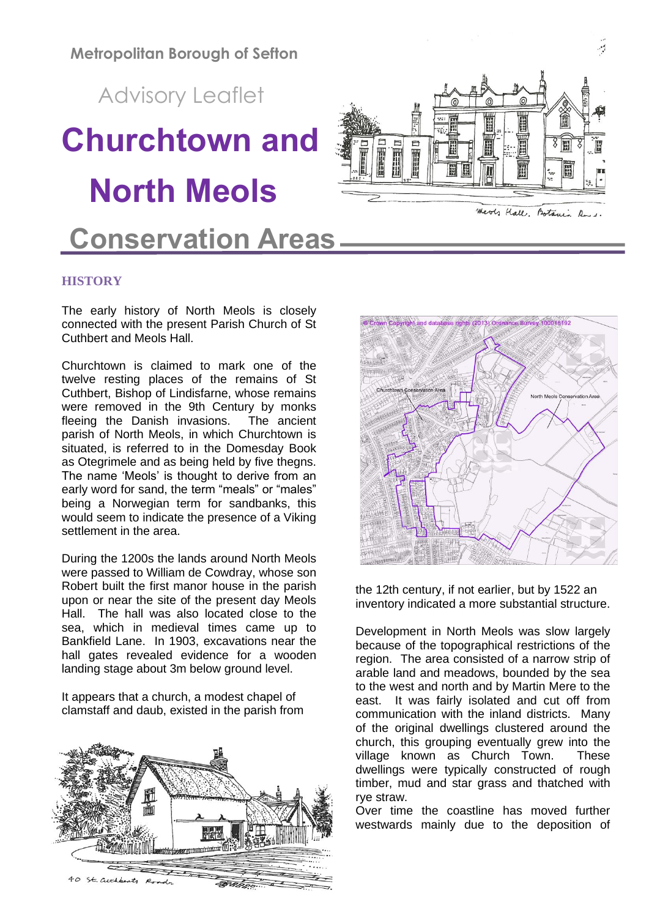**Metropolitan Borough of Sefton**

Advisory Leaflet

# **Churchtown and North Meols**

# **Conservation Areas**

# **HISTORY**

The early history of North Meols is closely connected with the present Parish Church of St Cuthbert and Meols Hall.

Churchtown is claimed to mark one of the twelve resting places of the remains of St Cuthbert, Bishop of Lindisfarne, whose remains were removed in the 9th Century by monks fleeing the Danish invasions. The ancient parish of North Meols, in which Churchtown is situated, is referred to in the Domesday Book as Otegrimele and as being held by five thegns. The name 'Meols' is thought to derive from an early word for sand, the term "meals" or "males" being a Norwegian term for sandbanks, this would seem to indicate the presence of a Viking settlement in the area.

During the 1200s the lands around North Meols were passed to William de Cowdray, whose son Robert built the first manor house in the parish upon or near the site of the present day Meols Hall. The hall was also located close to the sea, which in medieval times came up to Bankfield Lane. In 1903, excavations near the hall gates revealed evidence for a wooden landing stage about 3m below ground level.

It appears that a church, a modest chapel of clamstaff and daub, existed in the parish from





the 12th century, if not earlier, but by 1522 an inventory indicated a more substantial structure.

Development in North Meols was slow largely because of the topographical restrictions of the region. The area consisted of a narrow strip of arable land and meadows, bounded by the sea to the west and north and by Martin Mere to the east. It was fairly isolated and cut off from communication with the inland districts. Many of the original dwellings clustered around the church, this grouping eventually grew into the village known as Church Town. These dwellings were typically constructed of rough timber, mud and star grass and thatched with rye straw.

Over time the coastline has moved further westwards mainly due to the deposition of

WWW. E



E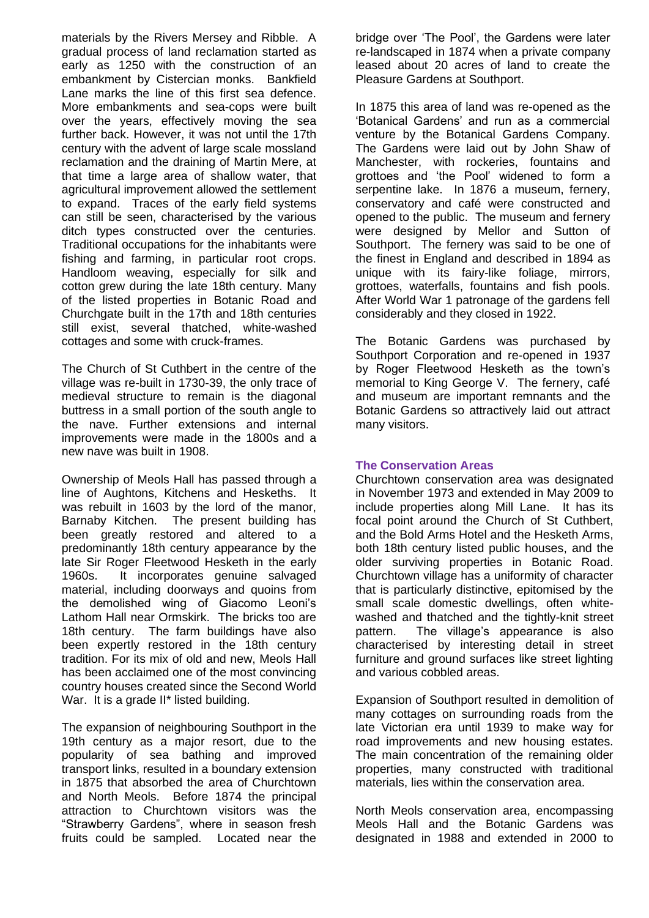materials by the Rivers Mersey and Ribble. A gradual process of land reclamation started as early as 1250 with the construction of an embankment by Cistercian monks. Bankfield Lane marks the line of this first sea defence. More embankments and sea-cops were built over the years, effectively moving the sea further back. However, it was not until the 17th century with the advent of large scale mossland reclamation and the draining of Martin Mere, at that time a large area of shallow water, that agricultural improvement allowed the settlement to expand. Traces of the early field systems can still be seen, characterised by the various ditch types constructed over the centuries. Traditional occupations for the inhabitants were fishing and farming, in particular root crops. Handloom weaving, especially for silk and cotton grew during the late 18th century. Many of the listed properties in Botanic Road and Churchgate built in the 17th and 18th centuries still exist, several thatched, white-washed cottages and some with cruck-frames.

The Church of St Cuthbert in the centre of the village was re-built in 1730-39, the only trace of medieval structure to remain is the diagonal buttress in a small portion of the south angle to the nave. Further extensions and internal improvements were made in the 1800s and a new nave was built in 1908.

Ownership of Meols Hall has passed through a line of Aughtons, Kitchens and Heskeths. It was rebuilt in 1603 by the lord of the manor, Barnaby Kitchen. The present building has been greatly restored and altered to a predominantly 18th century appearance by the late Sir Roger Fleetwood Hesketh in the early 1960s. It incorporates genuine salvaged material, including doorways and quoins from the demolished wing of Giacomo Leoni's Lathom Hall near Ormskirk. The bricks too are 18th century. The farm buildings have also been expertly restored in the 18th century tradition. For its mix of old and new, Meols Hall has been acclaimed one of the most convincing country houses created since the Second World War. It is a grade II<sup>\*</sup> listed building.

The expansion of neighbouring Southport in the 19th century as a major resort, due to the popularity of sea bathing and improved transport links, resulted in a boundary extension in 1875 that absorbed the area of Churchtown and North Meols. Before 1874 the principal attraction to Churchtown visitors was the "Strawberry Gardens", where in season fresh fruits could be sampled. Located near the

bridge over 'The Pool', the Gardens were later re-landscaped in 1874 when a private company leased about 20 acres of land to create the Pleasure Gardens at Southport.

In 1875 this area of land was re-opened as the 'Botanical Gardens' and run as a commercial venture by the Botanical Gardens Company. The Gardens were laid out by John Shaw of Manchester, with rockeries, fountains and grottoes and 'the Pool' widened to form a serpentine lake. In 1876 a museum, fernery, conservatory and café were constructed and opened to the public. The museum and fernery were designed by Mellor and Sutton of Southport. The fernery was said to be one of the finest in England and described in 1894 as unique with its fairy-like foliage, mirrors, grottoes, waterfalls, fountains and fish pools. After World War 1 patronage of the gardens fell considerably and they closed in 1922.

The Botanic Gardens was purchased by Southport Corporation and re-opened in 1937 by Roger Fleetwood Hesketh as the town's memorial to King George V. The fernery, café and museum are important remnants and the Botanic Gardens so attractively laid out attract many visitors.

# **The Conservation Areas**

Churchtown conservation area was designated in November 1973 and extended in May 2009 to include properties along Mill Lane. It has its focal point around the Church of St Cuthbert, and the Bold Arms Hotel and the Hesketh Arms, both 18th century listed public houses, and the older surviving properties in Botanic Road. Churchtown village has a uniformity of character that is particularly distinctive, epitomised by the small scale domestic dwellings, often whitewashed and thatched and the tightly-knit street pattern. The village's appearance is also characterised by interesting detail in street furniture and ground surfaces like street lighting and various cobbled areas.

Expansion of Southport resulted in demolition of many cottages on surrounding roads from the late Victorian era until 1939 to make way for road improvements and new housing estates. The main concentration of the remaining older properties, many constructed with traditional materials, lies within the conservation area.

North Meols conservation area, encompassing Meols Hall and the Botanic Gardens was designated in 1988 and extended in 2000 to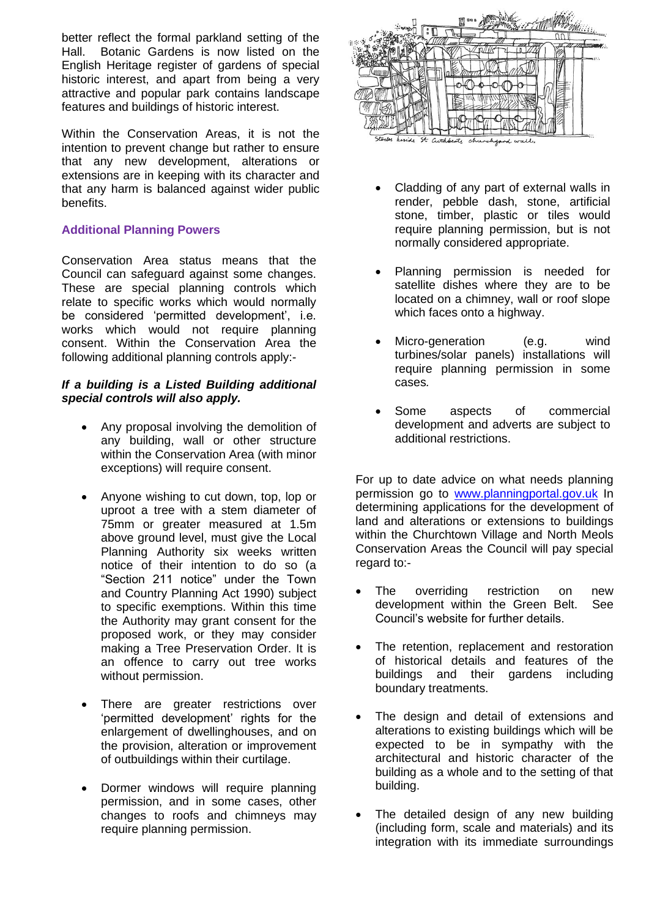better reflect the formal parkland setting of the Hall. Botanic Gardens is now listed on the English Heritage register of gardens of special historic interest, and apart from being a very attractive and popular park contains landscape features and buildings of historic interest.

Within the Conservation Areas, it is not the intention to prevent change but rather to ensure that any new development, alterations or extensions are in keeping with its character and that any harm is balanced against wider public benefits.

# **Additional Planning Powers**

Conservation Area status means that the Council can safeguard against some changes. These are special planning controls which relate to specific works which would normally be considered 'permitted development', i.e. works which would not require planning consent. Within the Conservation Area the following additional planning controls apply:-

# *If a building is a Listed Building additional special controls will also apply.*

- Any proposal involving the demolition of any building, wall or other structure within the Conservation Area (with minor exceptions) will require consent.
- Anyone wishing to cut down, top, lop or uproot a tree with a stem diameter of 75mm or greater measured at 1.5m above ground level, must give the Local Planning Authority six weeks written notice of their intention to do so (a "Section 211 notice" under the Town and Country Planning Act 1990) subject to specific exemptions. Within this time the Authority may grant consent for the proposed work, or they may consider making a Tree Preservation Order. It is an offence to carry out tree works without permission.
- There are greater restrictions over 'permitted development' rights for the enlargement of dwellinghouses, and on the provision, alteration or improvement of outbuildings within their curtilage.
- Dormer windows will require planning permission, and in some cases, other changes to roofs and chimneys may require planning permission.



- Cladding of any part of external walls in render, pebble dash, stone, artificial stone, timber, plastic or tiles would require planning permission, but is not normally considered appropriate.
- Planning permission is needed for satellite dishes where they are to be located on a chimney, wall or roof slope which faces onto a highway.
- Micro-generation (e.g. wind turbines/solar panels) installations will require planning permission in some cases*.*
- Some aspects of commercial development and adverts are subject to additional restrictions.

For up to date advice on what needs planning permission go to [www.planningportal.gov.uk](http://www.planningportal.gov.uk/) In determining applications for the development of land and alterations or extensions to buildings within the Churchtown Village and North Meols Conservation Areas the Council will pay special regard to:-

- The overriding restriction on new development within the Green Belt. See Council's website for further details.
- The retention, replacement and restoration of historical details and features of the buildings and their gardens including boundary treatments.
- The design and detail of extensions and alterations to existing buildings which will be expected to be in sympathy with the architectural and historic character of the building as a whole and to the setting of that building.
- The detailed design of any new building (including form, scale and materials) and its integration with its immediate surroundings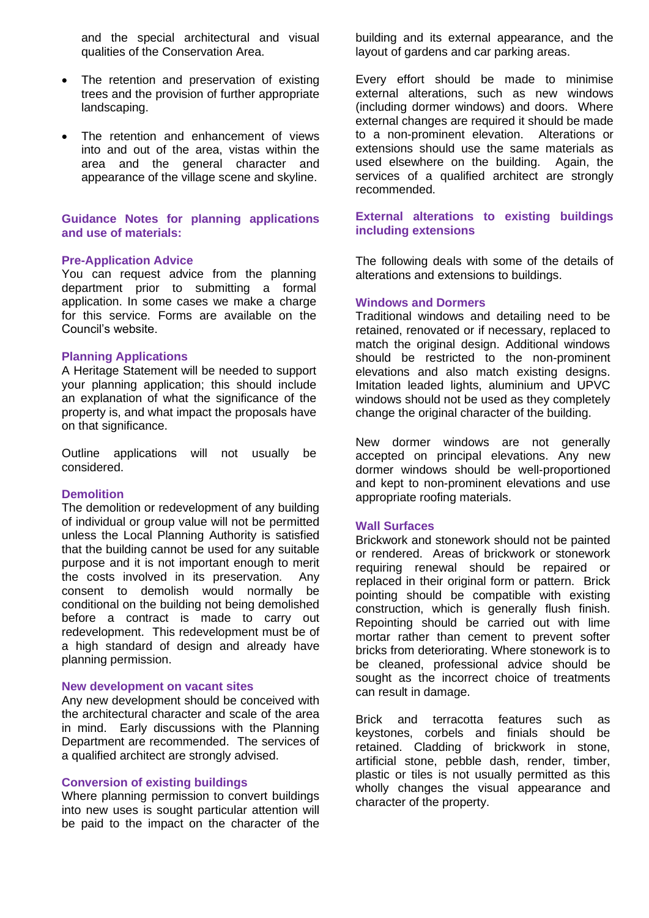and the special architectural and visual qualities of the Conservation Area.

- The retention and preservation of existing trees and the provision of further appropriate landscaping.
- The retention and enhancement of views into and out of the area, vistas within the area and the general character and appearance of the village scene and skyline.

# **Guidance Notes for planning applications and use of materials:**

#### **Pre-Application Advice**

You can request advice from the planning department prior to submitting a formal application. In some cases we make a charge for this service. Forms are available on the Council's website.

#### **Planning Applications**

A Heritage Statement will be needed to support your planning application; this should include an explanation of what the significance of the property is, and what impact the proposals have on that significance.

Outline applications will not usually be considered.

#### **Demolition**

The demolition or redevelopment of any building of individual or group value will not be permitted unless the Local Planning Authority is satisfied that the building cannot be used for any suitable purpose and it is not important enough to merit the costs involved in its preservation. Any consent to demolish would normally be conditional on the building not being demolished before a contract is made to carry out redevelopment. This redevelopment must be of a high standard of design and already have planning permission.

#### **New development on vacant sites**

Any new development should be conceived with the architectural character and scale of the area in mind. Early discussions with the Planning Department are recommended. The services of a qualified architect are strongly advised.

#### **Conversion of existing buildings**

Where planning permission to convert buildings into new uses is sought particular attention will be paid to the impact on the character of the

building and its external appearance, and the layout of gardens and car parking areas.

Every effort should be made to minimise external alterations, such as new windows (including dormer windows) and doors. Where external changes are required it should be made to a non-prominent elevation. Alterations or extensions should use the same materials as used elsewhere on the building. Again, the services of a qualified architect are strongly recommended.

# **External alterations to existing buildings including extensions**

The following deals with some of the details of alterations and extensions to buildings.

#### **Windows and Dormers**

Traditional windows and detailing need to be retained, renovated or if necessary, replaced to match the original design. Additional windows should be restricted to the non-prominent elevations and also match existing designs. Imitation leaded lights, aluminium and UPVC windows should not be used as they completely change the original character of the building.

New dormer windows are not generally accepted on principal elevations. Any new dormer windows should be well-proportioned and kept to non-prominent elevations and use appropriate roofing materials.

#### **Wall Surfaces**

Brickwork and stonework should not be painted or rendered. Areas of brickwork or stonework requiring renewal should be repaired or replaced in their original form or pattern. Brick pointing should be compatible with existing construction, which is generally flush finish. Repointing should be carried out with lime mortar rather than cement to prevent softer bricks from deteriorating. Where stonework is to be cleaned, professional advice should be sought as the incorrect choice of treatments can result in damage.

Brick and terracotta features such as keystones, corbels and finials should be retained. Cladding of brickwork in stone, artificial stone, pebble dash, render, timber, plastic or tiles is not usually permitted as this wholly changes the visual appearance and character of the property.